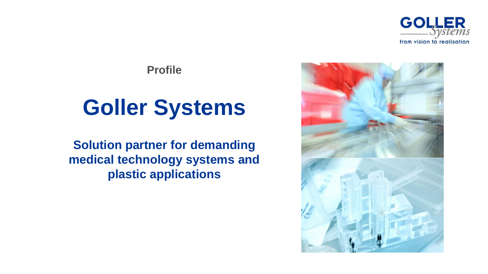



**Profile**

# **Goller Systems**

**Solution partner for demanding medical technology systems and plastic applications**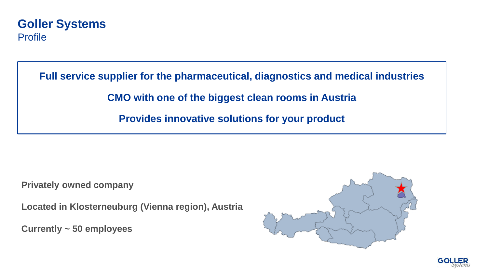## **Goller Systems Profile**

**Full service supplier for the pharmaceutical, diagnostics and medical industries CMO with one of the biggest clean rooms in Austria Provides innovative solutions for your product**

**Privately owned company** 

**Located in Klosterneuburg (Vienna region), Austria**

**Currently ~ 50 employees**



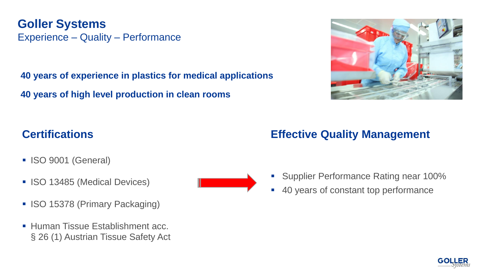**Goller Systems** Experience – Quality – Performance

**40 years of experience in plastics for medical applications**

**40 years of high level production in clean rooms**



## **Certifications**

- ISO 9001 (General)
- ISO 13485 (Medical Devices)
- ISO 15378 (Primary Packaging)
- **Human Tissue Establishment acc.** § 26 (1) Austrian Tissue Safety Act



- 
- **Supplier Performance Rating near 100%**
- 40 years of constant top performance

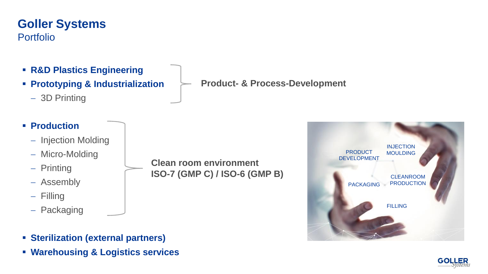## **Goller Systems Portfolio**

- **R&D Plastics Engineering**
- **Prototyping & Industrialization**
	- − 3D Printing

## ▪ **Production**

- − Injection Molding
- − Micro-Molding
- − Printing
- − Assembly
- − Filling
- − Packaging

**Clean room environment ISO-7 (GMP C) / ISO-6 (GMP B)** 

- **Sterilization (external partners)**
- **Warehousing & Logistics services**

**Product- & Process-Development**



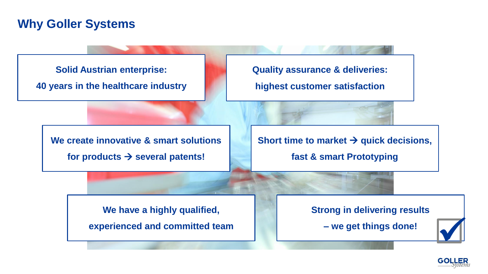## **Why Goller Systems**



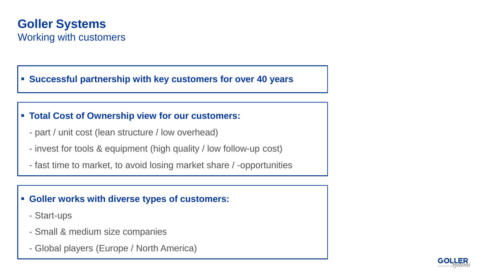## **Goller Systems** Working with customers

#### ▪ **Successful partnership with key customers for over 40 years**

#### ▪ **Total Cost of Ownership view for our customers:**

- part / unit cost (lean structure / low overhead)
- invest for tools & equipment (high quality / low follow-up cost)
- fast time to market, to avoid losing market share / -opportunities

#### ▪ **Goller works with diverse types of customers:**

- Start-ups
- Small & medium size companies
- Global players (Europe / North America)

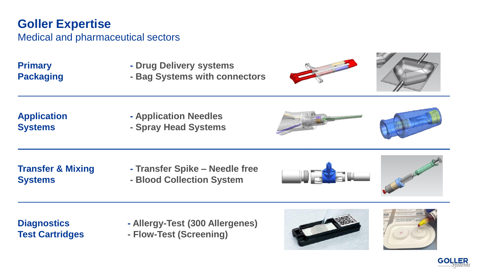# **Goller Expertise**

#### Medical and pharmaceutical sectors

- **Primary 6-12 Constraints Ariza Constraints Ariza Drug Delivery systems**
- **Packaging · · Bag Systems with connectors**



**Application - Application Needles Systems - Spray Head Systems**



**Systems - Blood Collection System**

**Transfer & Mixing - Transfer Spike – Needle free**





**Diagnostics - Allergy-Test (300 Allergenes) Test Cartridges - Flow-Test (Screening)**





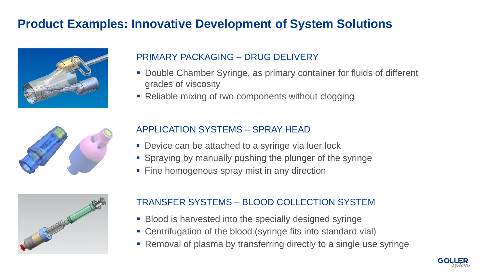# **Product Examples: Innovative Development of System Solutions**



## PRIMARY PACKAGING – DRUG DELIVERY

- Double Chamber Syringe, as primary container for fluids of different grades of viscosity
- Reliable mixing of two components without clogging



#### APPLICATION SYSTEMS – SPRAY HEAD

- Device can be attached to a syringe via luer lock
- Spraying by manually pushing the plunger of the syringe
- Fine homogenous spray mist in any direction



## TRANSFER SYSTEMS – BLOOD COLLECTION SYSTEM

- **Blood is harvested into the specially designed syringe**
- Centrifugation of the blood (syringe fits into standard vial)
- Removal of plasma by transferring directly to a single use syringe

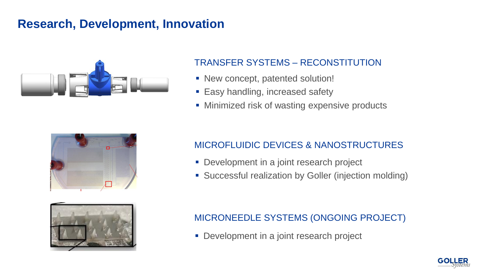## **Research, Development, Innovation**



## TRANSFER SYSTEMS – RECONSTITUTION

- New concept, patented solution!
- Easy handling, increased safety
- Minimized risk of wasting expensive products



## MICROFLUIDIC DEVICES & NANOSTRUCTURES

- **Development in a joint research project**
- Successful realization by Goller (injection molding)



## MICRONEEDLE SYSTEMS (ONGOING PROJECT)

■ Development in a joint research project